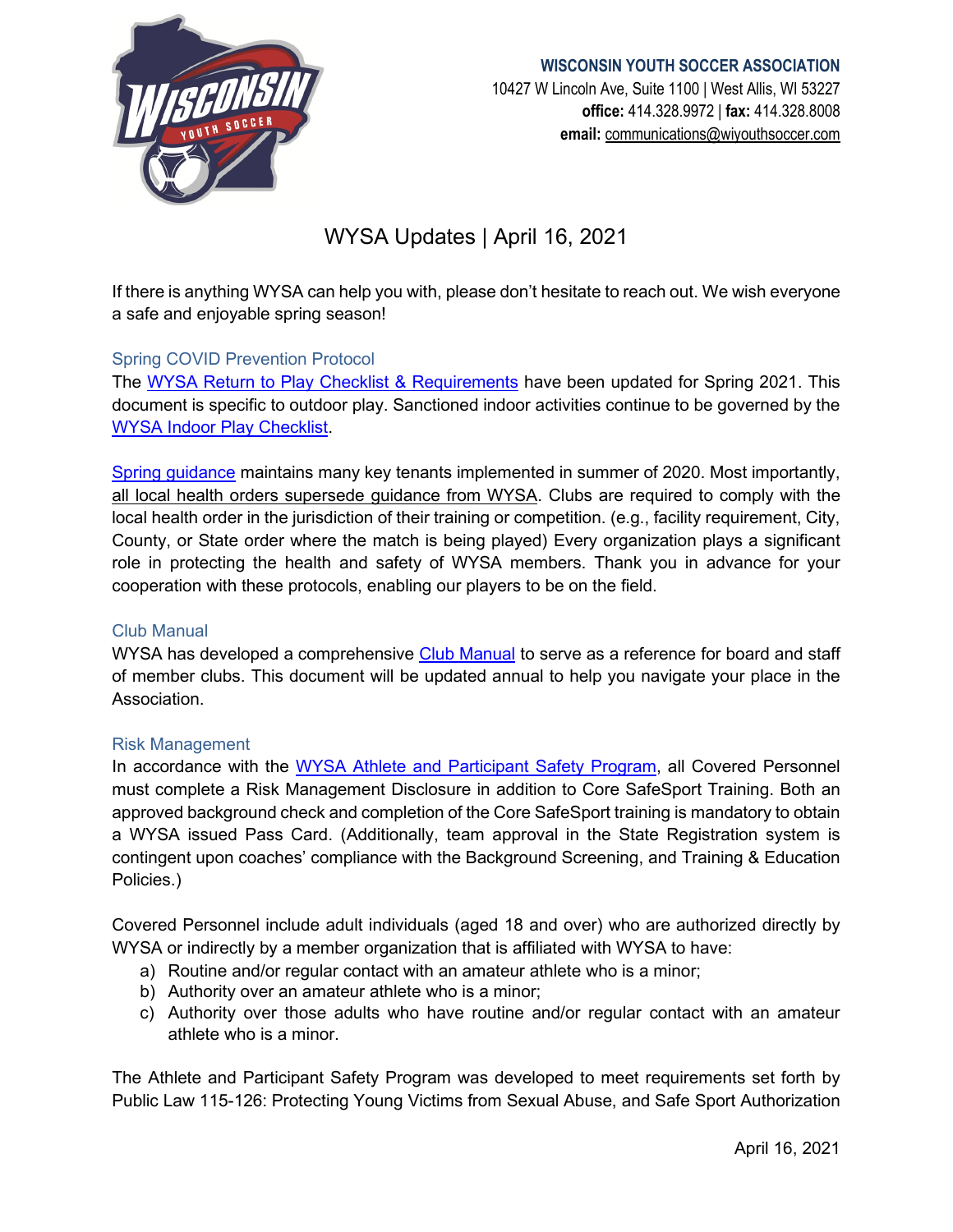

#### **WISCONSIN YOUTH SOCCER ASSOCIATION**

10427 W Lincoln Ave, Suite 1100 | West Allis, WI 53227 **office:** 414.328.9972 | **fax:** 414.328.8008 **email:** [communications@wiyouthsoccer.com](mailto:communications@wiyouthsoccer.com)

# WYSA Updates | April 16, 2021

If there is anything WYSA can help you with, please don't hesitate to reach out. We wish everyone a safe and enjoyable spring season!

## Spring COVID Prevention Protocol

The [WYSA Return to Play Checklist & Requirements](https://www.wiyouthsoccer.com/assets/75/6/return_to_play_checklist__requirements_-_spring_2021_-_upload.pdf) have been updated for Spring 2021. This document is specific to outdoor play. Sanctioned indoor activities continue to be governed by the [WYSA Indoor Play Checklist.](https://www.wiyouthsoccer.com/assets/75/6/wysa_indoor_play_checklist.pdf)

[Spring guidance](https://www.wiyouthsoccer.com/assets/75/6/return_to_play_checklist__requirements_-_spring_2021_-_upload.pdf) maintains many key tenants implemented in summer of 2020. Most importantly, all local health orders supersede guidance from WYSA. Clubs are required to comply with the local health order in the jurisdiction of their training or competition. (e.g., facility requirement, City, County, or State order where the match is being played) Every organization plays a significant role in protecting the health and safety of WYSA members. Thank you in advance for your cooperation with these protocols, enabling our players to be on the field.

#### Club Manual

WYSA has developed a comprehensive [Club Manual](https://www.wiyouthsoccer.com/assets/75/6/wysa_club_manual_final_20-21.pdf) to serve as a reference for board and staff of member clubs. This document will be updated annual to help you navigate your place in the Association.

### Risk Management

In accordance with the [WYSA Athlete and Participant Safety Program,](https://usys-assets.ae-admin.com/assets/972/15/WYSA%20Athlete%20and%20Participant%20Safety%20Program%20APPROVED.pdf) all Covered Personnel must complete a Risk Management Disclosure in addition to Core SafeSport Training. Both an approved background check and completion of the Core SafeSport training is mandatory to obtain a WYSA issued Pass Card. (Additionally, team approval in the State Registration system is contingent upon coaches' compliance with the Background Screening, and Training & Education Policies.)

Covered Personnel include adult individuals (aged 18 and over) who are authorized directly by WYSA or indirectly by a member organization that is affiliated with WYSA to have:

- a) Routine and/or regular contact with an amateur athlete who is a minor;
- b) Authority over an amateur athlete who is a minor;
- c) Authority over those adults who have routine and/or regular contact with an amateur athlete who is a minor.

The Athlete and Participant Safety Program was developed to meet requirements set forth by Public Law 115-126: Protecting Young Victims from Sexual Abuse, and Safe Sport Authorization